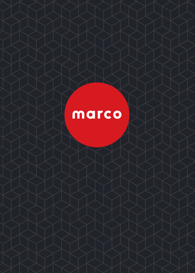# marco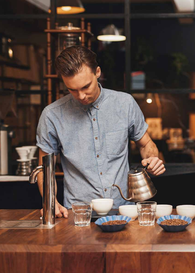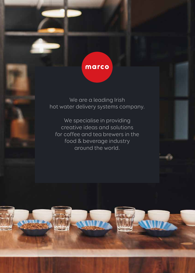# marco

We are a leading Irish hot water delivery systems company.

We specialise in providing creative ideas and solutions for coffee and tea brewers in the food & beverage industry around the world.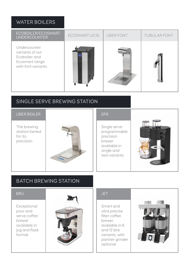### WATER BOILERS

| ECOBOILER/ECOSMART<br><b>UNDERCOUNTER</b>                                                | ECOSMART UC10 | <b>UBER FONT</b> | <b>TUBULAR FONT</b> |
|------------------------------------------------------------------------------------------|---------------|------------------|---------------------|
| Undercounter<br>variants of our<br>Ecoboiler and<br>Ecosmart range<br>with font variants |               |                  |                     |

## SINGLE SERVE BREWING STATION

#### UBER BOILER

The brewing station famed for its precision



#### SP9

Single serve programmable precision brewer available in single and twin variants



# BATCH BREWING STATION

#### **BRU**

Exceptional pour and serve coffee brewer available in jug and flask format



#### JET

Smart and ultra precise filter coffee brewer available in 6 and 12 litre variants, with partner grinder optional

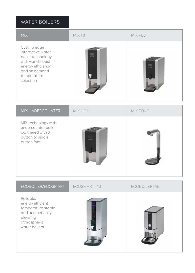# WATER BOILERS

| <b>MIX</b>                                                                                                                                    | MIXT8       | MIX PB3  |
|-----------------------------------------------------------------------------------------------------------------------------------------------|-------------|----------|
| Cutting edge<br>interactive water<br>boiler technology<br>with world's best<br>energy efficiency<br>and on demand<br>temperature<br>selection | <b>STEP</b> | $31 - 1$ |

| MIX UNDERCOUNTER                                                                                   | MIX UC3  | <b>MIX FONT</b> |
|----------------------------------------------------------------------------------------------------|----------|-----------------|
| MIX technology with<br>undercounter boiler<br>partnered with 3<br>button or single<br>button fonts | 30 to au |                 |

| ECOBOILER/ECOSMART                                                                                                    | ECOSMART T10 | <b>ECOBOILER PB5</b> |
|-----------------------------------------------------------------------------------------------------------------------|--------------|----------------------|
| Reliable,<br>energy efficient,<br>temperature stable<br>and aesthetically<br>pleasing<br>atmospheric<br>water boilers |              |                      |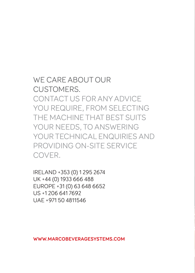WE CARE ABOUT OUR CUSTOMERS. CONTACT US FOR ANY ADVICE YOU REQUIRE, FROM SELECTING THE MACHINE THAT BEST SUITS YOUR NEEDS, TO ANSWERING YOUR TECHNICAL ENQUIRIES AND PROVIDING ON-SITE SERVICE COVER.

IRELAND +353 (0) 1 295 2674 UK +44 (0) 1933 666 488 EUROPE +31 (0) 63 648 6652 US +1 206 641 7692 UAE +971 50 4811546

**WWW.MARCOBEVERAGESYSTEMS.COM**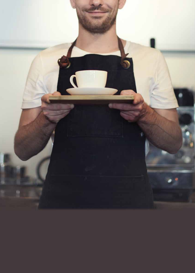